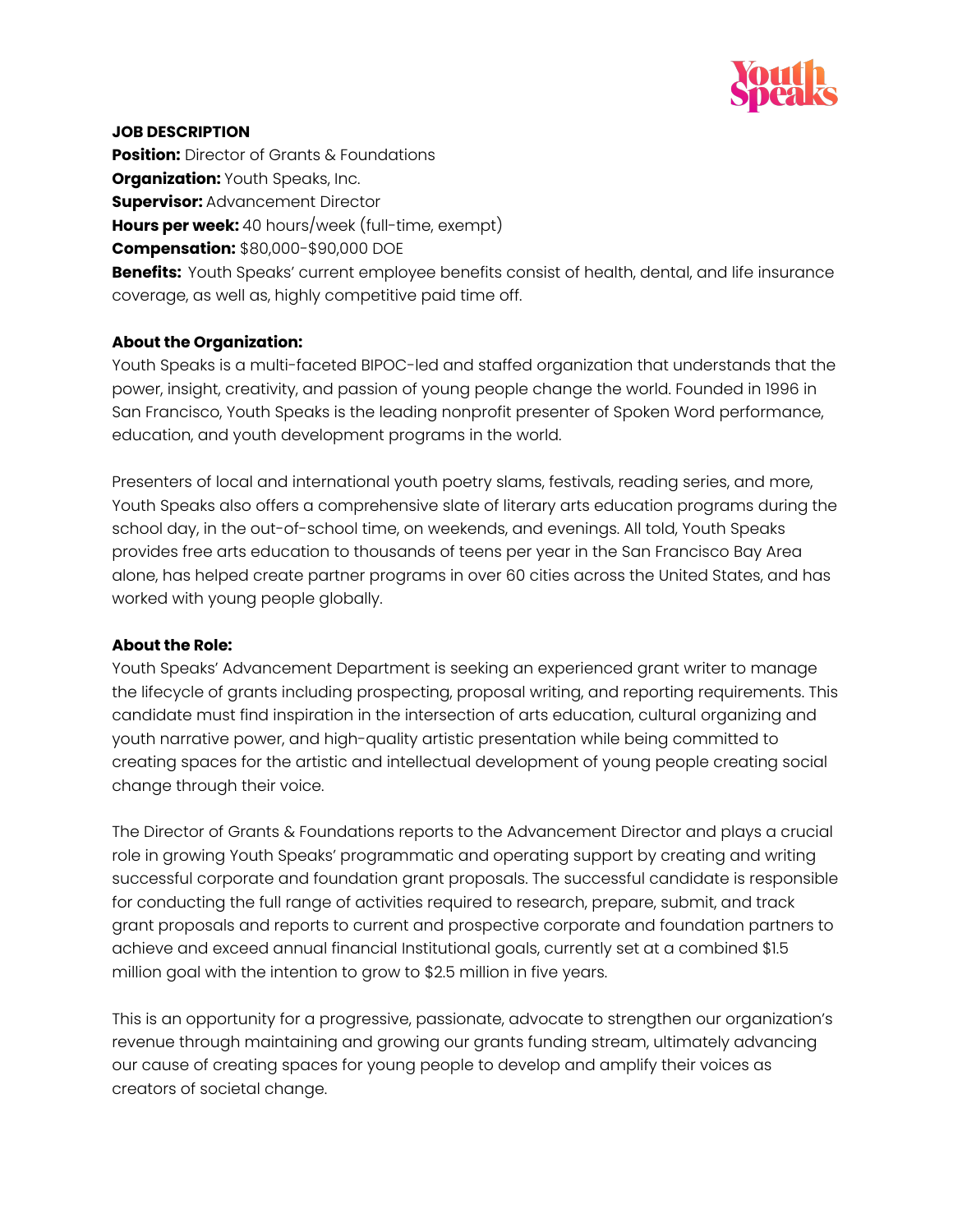

#### **JOB DESCRIPTION**

**Position:** Director of Grants & Foundations **Organization:** Youth Speaks, Inc. **Supervisor: Advancement Director Hours per week:** 40 hours/week (full-time, exempt) **Compensation:** \$80,000-\$90,000 DOE **Benefits:** Youth Speaks' current employee benefits consist of health, dental, and life insurance coverage, as well as, highly competitive paid time off.

#### **About the Organization:**

Youth Speaks is a multi-faceted BIPOC-led and staffed organization that understands that the power, insight, creativity, and passion of young people change the world. Founded in 1996 in San Francisco, Youth Speaks is the leading nonprofit presenter of Spoken Word performance, education, and youth development programs in the world.

Presenters of local and international youth poetry slams, festivals, reading series, and more, Youth Speaks also offers a comprehensive slate of literary arts education programs during the school day, in the out-of-school time, on weekends, and evenings. All told, Youth Speaks provides free arts education to thousands of teens per year in the San Francisco Bay Area alone, has helped create partner programs in over 60 cities across the United States, and has worked with young people globally.

#### **About the Role:**

Youth Speaks' Advancement Department is seeking an experienced grant writer to manage the lifecycle of grants including prospecting, proposal writing, and reporting requirements. This candidate must find inspiration in the intersection of arts education, cultural organizing and youth narrative power, and high-quality artistic presentation while being committed to creating spaces for the artistic and intellectual development of young people creating social change through their voice.

The Director of Grants & Foundations reports to the Advancement Director and plays a crucial role in growing Youth Speaks' programmatic and operating support by creating and writing successful corporate and foundation grant proposals. The successful candidate is responsible for conducting the full range of activities required to research, prepare, submit, and track grant proposals and reports to current and prospective corporate and foundation partners to achieve and exceed annual financial Institutional goals, currently set at a combined \$1.5 million goal with the intention to grow to \$2.5 million in five years.

This is an opportunity for a progressive, passionate, advocate to strengthen our organization's revenue through maintaining and growing our grants funding stream, ultimately advancing our cause of creating spaces for young people to develop and amplify their voices as creators of societal change.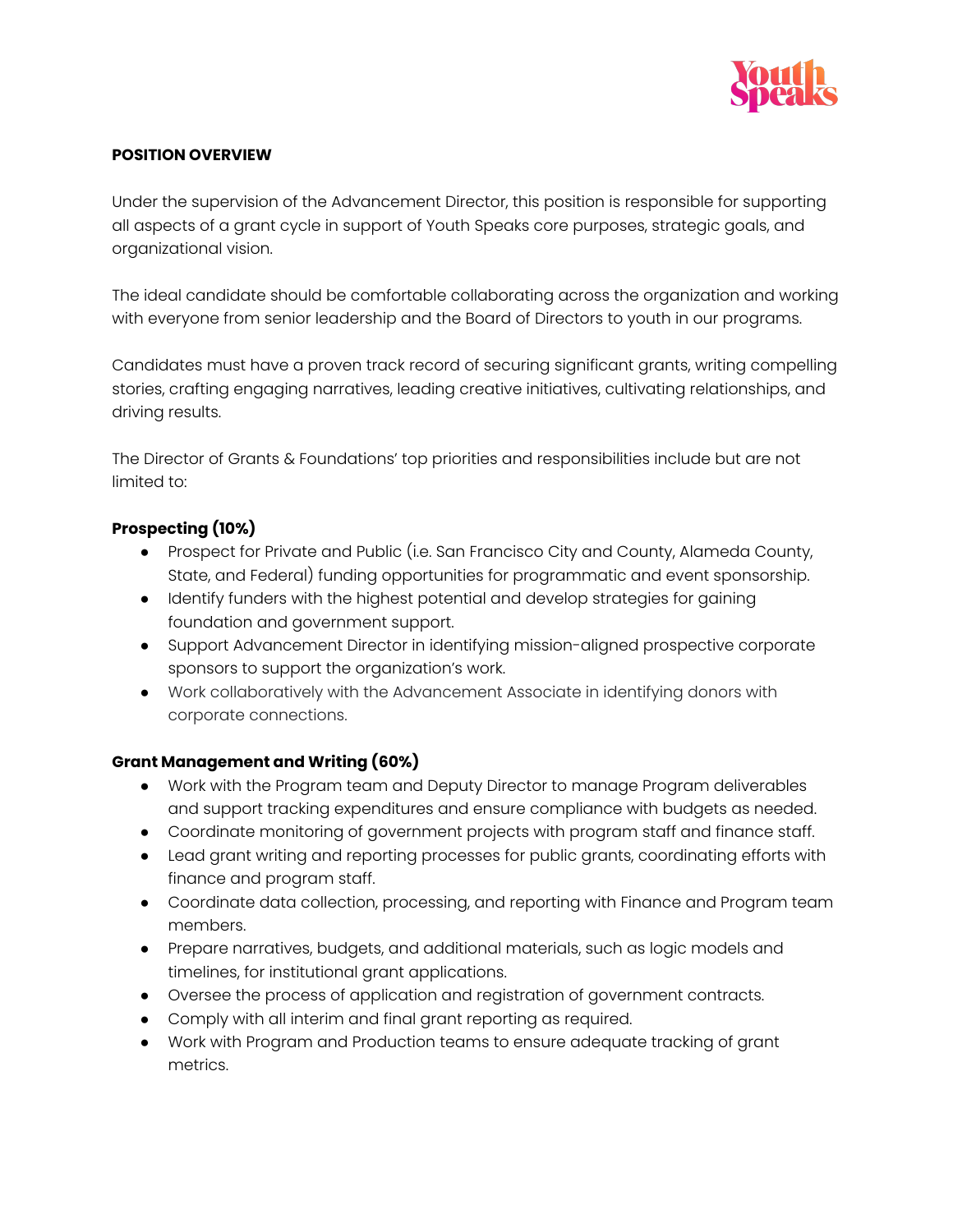

### **POSITION OVERVIEW**

Under the supervision of the Advancement Director, this position is responsible for supporting all aspects of a grant cycle in support of Youth Speaks core purposes, strategic goals, and organizational vision.

The ideal candidate should be comfortable collaborating across the organization and working with everyone from senior leadership and the Board of Directors to youth in our programs.

Candidates must have a proven track record of securing significant grants, writing compelling stories, crafting engaging narratives, leading creative initiatives, cultivating relationships, and driving results.

The Director of Grants & Foundations' top priorities and responsibilities include but are not limited to:

## **Prospecting (10%)**

- Prospect for Private and Public (i.e. San Francisco City and County, Alameda County, State, and Federal) funding opportunities for programmatic and event sponsorship.
- Identify funders with the highest potential and develop strategies for gaining foundation and government support.
- Support Advancement Director in identifying mission-aligned prospective corporate sponsors to support the organization's work.
- Work collaboratively with the Advancement Associate in identifying donors with corporate connections.

## **Grant Management and Writing (60%)**

- Work with the Program team and Deputy Director to manage Program deliverables and support tracking expenditures and ensure compliance with budgets as needed.
- Coordinate monitoring of government projects with program staff and finance staff.
- Lead grant writing and reporting processes for public grants, coordinating efforts with finance and program staff.
- Coordinate data collection, processing, and reporting with Finance and Program team members.
- Prepare narratives, budgets, and additional materials, such as logic models and timelines, for institutional grant applications.
- Oversee the process of application and registration of government contracts.
- Comply with all interim and final grant reporting as required.
- Work with Program and Production teams to ensure adequate tracking of grant metrics.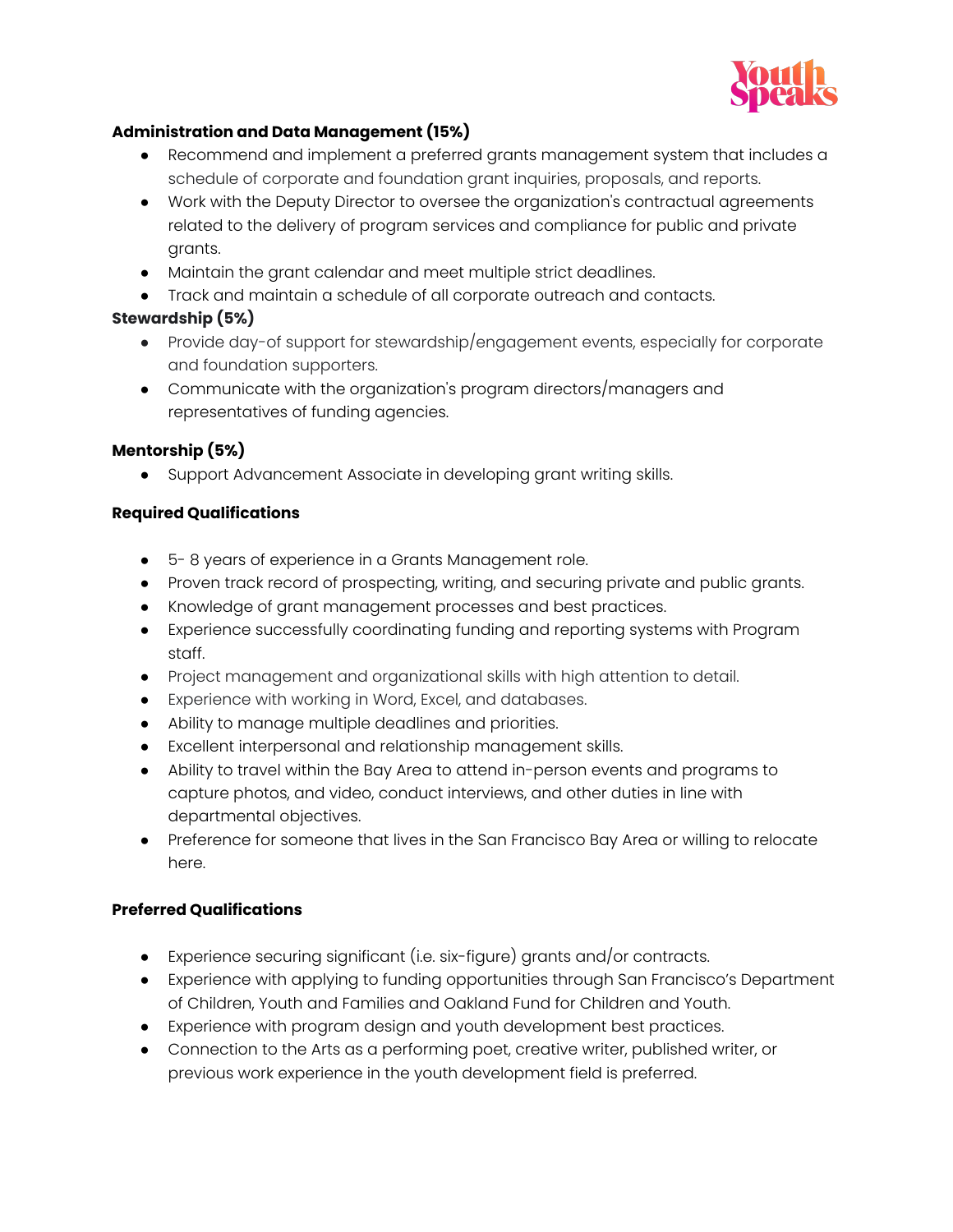

# **Administration and Data Management (15%)**

- Recommend and implement a preferred grants management system that includes a schedule of corporate and foundation grant inquiries, proposals, and reports.
- Work with the Deputy Director to oversee the organization's contractual agreements related to the delivery of program services and compliance for public and private grants.
- Maintain the grant calendar and meet multiple strict deadlines.
- Track and maintain a schedule of all corporate outreach and contacts.

# **Stewardship (5%)**

- Provide day-of support for stewardship/engagement events, especially for corporate and foundation supporters.
- Communicate with the organization's program directors/managers and representatives of funding agencies.

# **Mentorship (5%)**

● Support Advancement Associate in developing grant writing skills.

## **Required Qualifications**

- 5- 8 years of experience in a Grants Management role.
- Proven track record of prospecting, writing, and securing private and public grants.
- Knowledge of grant management processes and best practices.
- Experience successfully coordinating funding and reporting systems with Program staff.
- Project management and organizational skills with high attention to detail.
- Experience with working in Word, Excel, and databases.
- Ability to manage multiple deadlines and priorities.
- Excellent interpersonal and relationship management skills.
- Ability to travel within the Bay Area to attend in-person events and programs to capture photos, and video, conduct interviews, and other duties in line with departmental objectives.
- Preference for someone that lives in the San Francisco Bay Area or willing to relocate here.

# **Preferred Qualifications**

- Experience securing significant (i.e. six-figure) grants and/or contracts.
- Experience with applying to funding opportunities through San Francisco's Department of Children, Youth and Families and Oakland Fund for Children and Youth.
- Experience with program design and youth development best practices.
- Connection to the Arts as a performing poet, creative writer, published writer, or previous work experience in the youth development field is preferred.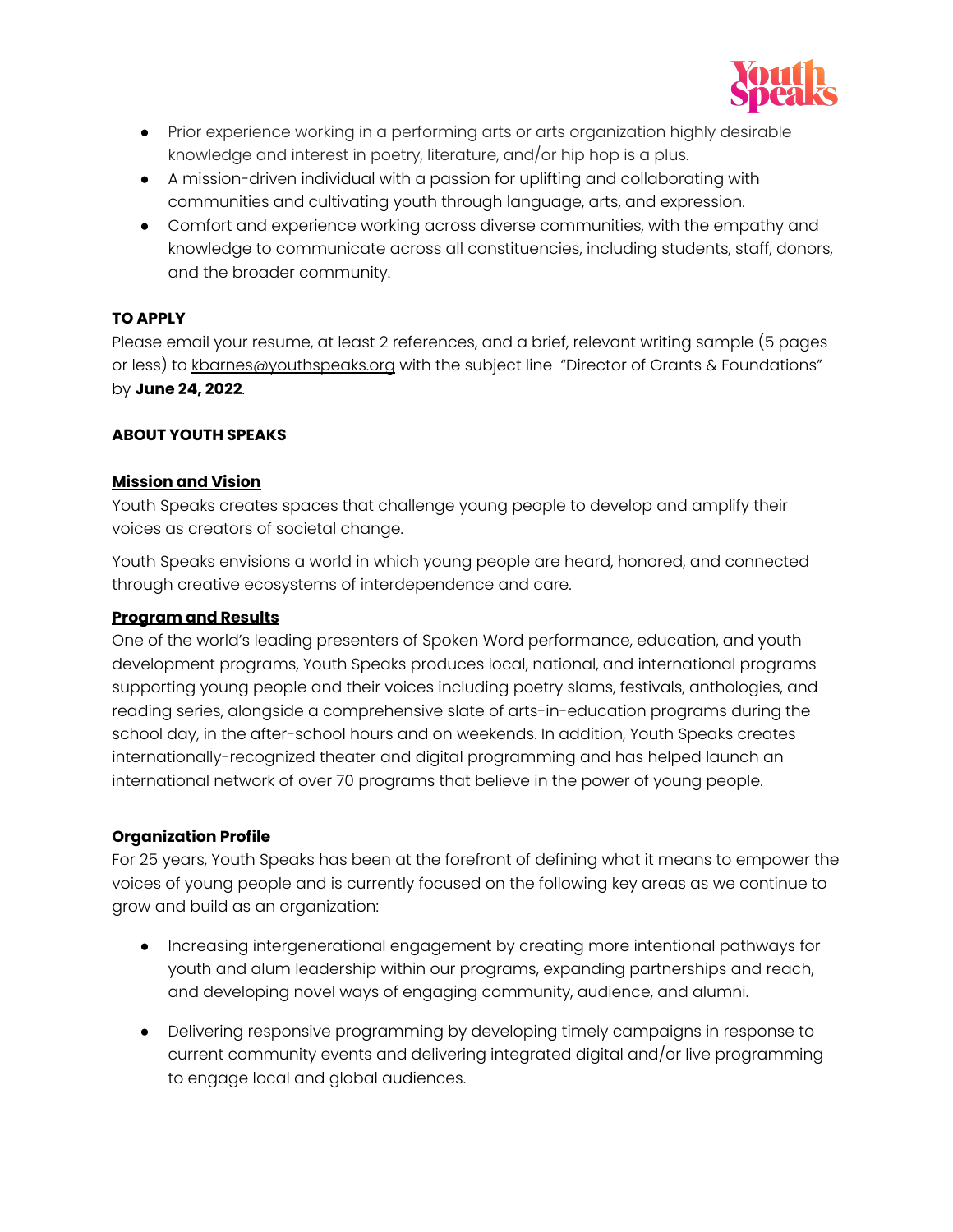

- Prior experience working in a performing arts or arts organization highly desirable knowledge and interest in poetry, literature, and/or hip hop is a plus.
- A mission-driven individual with a passion for uplifting and collaborating with communities and cultivating youth through language, arts, and expression.
- Comfort and experience working across diverse communities, with the empathy and knowledge to communicate across all constituencies, including students, staff, donors, and the broader community.

# **TO APPLY**

Please email your resume, at least 2 references, and a brief, relevant writing sample (5 pages or less) to [kbarnes@youthspeaks.org](mailto:kbarnes@youthspeaks.org) with the subject line "Director of Grants & Foundations" by **June 24, 2022**.

## **ABOUT YOUTH SPEAKS**

#### **Mission and Vision**

Youth Speaks creates spaces that challenge young people to develop and amplify their voices as creators of societal change.

Youth Speaks envisions a world in which young people are heard, honored, and connected through creative ecosystems of interdependence and care.

#### **Program and Results**

One of the world's leading presenters of Spoken Word performance, education, and youth development programs, Youth Speaks produces local, national, and international programs supporting young people and their voices including poetry slams, festivals, anthologies, and reading series, alongside a comprehensive slate of arts-in-education programs during the school day, in the after-school hours and on weekends. In addition, Youth Speaks creates internationally-recognized theater and digital programming and has helped launch an international network of over 70 programs that believe in the power of young people.

## **Organization Profile**

For 25 years, Youth Speaks has been at the forefront of defining what it means to empower the voices of young people and is currently focused on the following key areas as we continue to grow and build as an organization:

- Increasing intergenerational engagement by creating more intentional pathways for youth and alum leadership within our programs, expanding partnerships and reach, and developing novel ways of engaging community, audience, and alumni.
- Delivering responsive programming by developing timely campaigns in response to current community events and delivering integrated digital and/or live programming to engage local and global audiences.